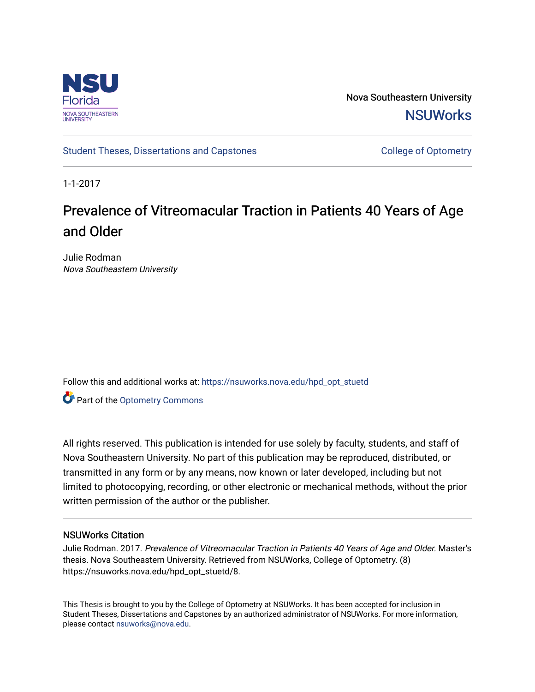

Nova Southeastern University **NSUWorks** 

[Student Theses, Dissertations and Capstones](https://nsuworks.nova.edu/hpd_opt_stuetd) College of Optometry

1-1-2017

### Prevalence of Vitreomacular Traction in Patients 40 Years of Age and Older

Julie Rodman Nova Southeastern University

Follow this and additional works at: [https://nsuworks.nova.edu/hpd\\_opt\\_stuetd](https://nsuworks.nova.edu/hpd_opt_stuetd?utm_source=nsuworks.nova.edu%2Fhpd_opt_stuetd%2F8&utm_medium=PDF&utm_campaign=PDFCoverPages)  **C** Part of the Optometry Commons

All rights reserved. This publication is intended for use solely by faculty, students, and staff of Nova Southeastern University. No part of this publication may be reproduced, distributed, or transmitted in any form or by any means, now known or later developed, including but not limited to photocopying, recording, or other electronic or mechanical methods, without the prior written permission of the author or the publisher.

#### NSUWorks Citation

Julie Rodman. 2017. Prevalence of Vitreomacular Traction in Patients 40 Years of Age and Older. Master's thesis. Nova Southeastern University. Retrieved from NSUWorks, College of Optometry. (8) https://nsuworks.nova.edu/hpd\_opt\_stuetd/8.

This Thesis is brought to you by the College of Optometry at NSUWorks. It has been accepted for inclusion in Student Theses, Dissertations and Capstones by an authorized administrator of NSUWorks. For more information, please contact [nsuworks@nova.edu](mailto:nsuworks@nova.edu).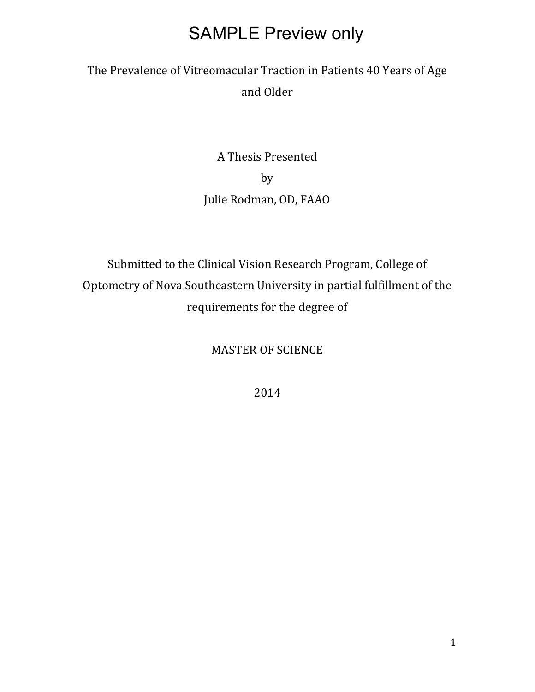### The Prevalence of Vitreomacular Traction in Patients 40 Years of Age and Older

A Thesis Presented by Julie Rodman, OD, FAAO

Submitted to the Clinical Vision Research Program, College of Optometry of Nova Southeastern University in partial fulfillment of the requirements for the degree of

MASTER OF SCIENCE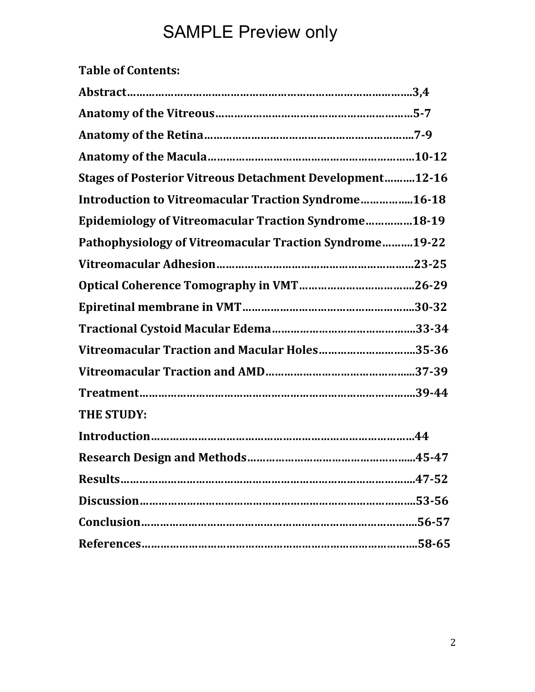#### **Table of Contents:**

| <b>Stages of Posterior Vitreous Detachment Development12-16</b> |
|-----------------------------------------------------------------|
| Introduction to Vitreomacular Traction Syndrome16-18            |
| <b>Epidemiology of Vitreomacular Traction Syndrome18-19</b>     |
| Pathophysiology of Vitreomacular Traction Syndrome19-22         |
|                                                                 |
|                                                                 |
|                                                                 |
|                                                                 |
| Vitreomacular Traction and Macular Holes35-36                   |
|                                                                 |
|                                                                 |
| <b>THE STUDY:</b>                                               |
|                                                                 |
|                                                                 |
|                                                                 |
|                                                                 |
|                                                                 |
|                                                                 |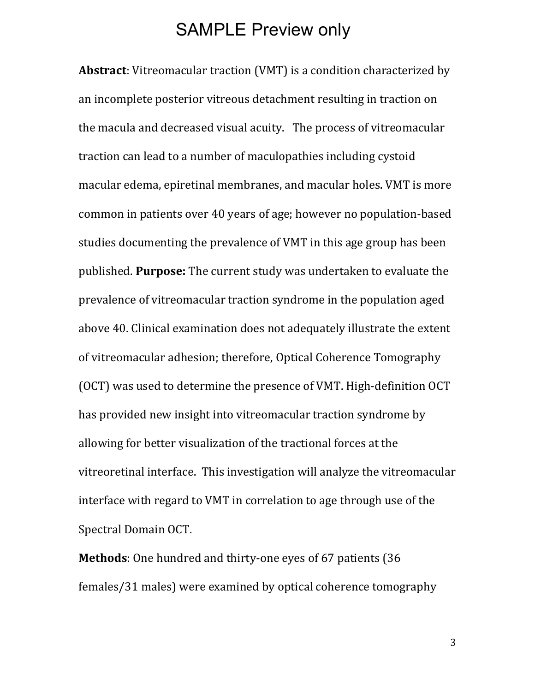**Abstract**: Vitreomacular traction (VMT) is a condition characterized by an incomplete posterior vitreous detachment resulting in traction on the macula and decreased visual acuity. The process of vitreomacular traction can lead to a number of maculopathies including cystoid macular edema, epiretinal membranes, and macular holes. VMT is more common in patients over 40 years of age; however no population-based studies documenting the prevalence of VMT in this age group has been published. **Purpose:** The current study was undertaken to evaluate the prevalence of vitreomacular traction syndrome in the population aged above 40. Clinical examination does not adequately illustrate the extent of vitreomacular adhesion; therefore, Optical Coherence Tomography (OCT) was used to determine the presence of VMT. High-definition OCT has provided new insight into vitreomacular traction syndrome by allowing for better visualization of the tractional forces at the vitreoretinal interface. This investigation will analyze the vitreomacular interface with regard to VMT in correlation to age through use of the Spectral Domain OCT.

**Methods**: One hundred and thirty-one eyes of 67 patients (36 females/31 males) were examined by optical coherence tomography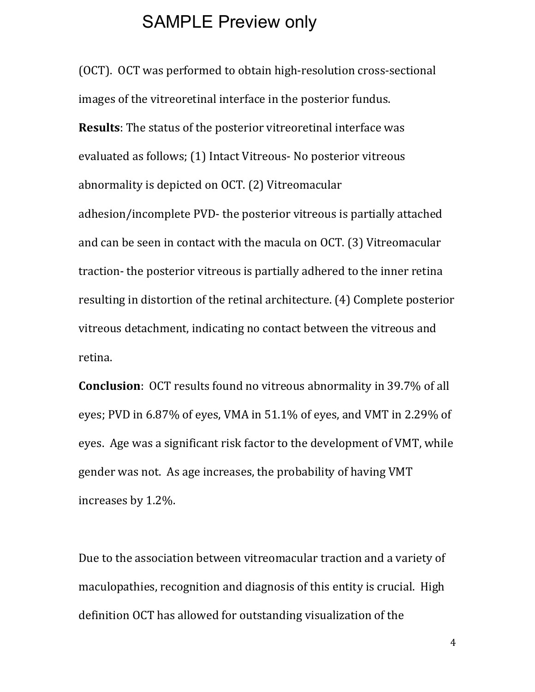(OCT). OCT was performed to obtain high-resolution cross-sectional images of the vitreoretinal interface in the posterior fundus. **Results**: The status of the posterior vitreoretinal interface was evaluated as follows; (1) Intact Vitreous- No posterior vitreous abnormality is depicted on OCT. (2) Vitreomacular adhesion/incomplete PVD- the posterior vitreous is partially attached and can be seen in contact with the macula on OCT. (3) Vitreomacular traction- the posterior vitreous is partially adhered to the inner retina resulting in distortion of the retinal architecture. (4) Complete posterior vitreous detachment, indicating no contact between the vitreous and retina.

**Conclusion**: OCT results found no vitreous abnormality in 39.7% of all eyes; PVD in 6.87% of eyes, VMA in 51.1% of eyes, and VMT in 2.29% of eyes. Age was a significant risk factor to the development of VMT, while gender was not. As age increases, the probability of having VMT increases by 1.2%.

Due to the association between vitreomacular traction and a variety of maculopathies, recognition and diagnosis of this entity is crucial. High definition OCT has allowed for outstanding visualization of the